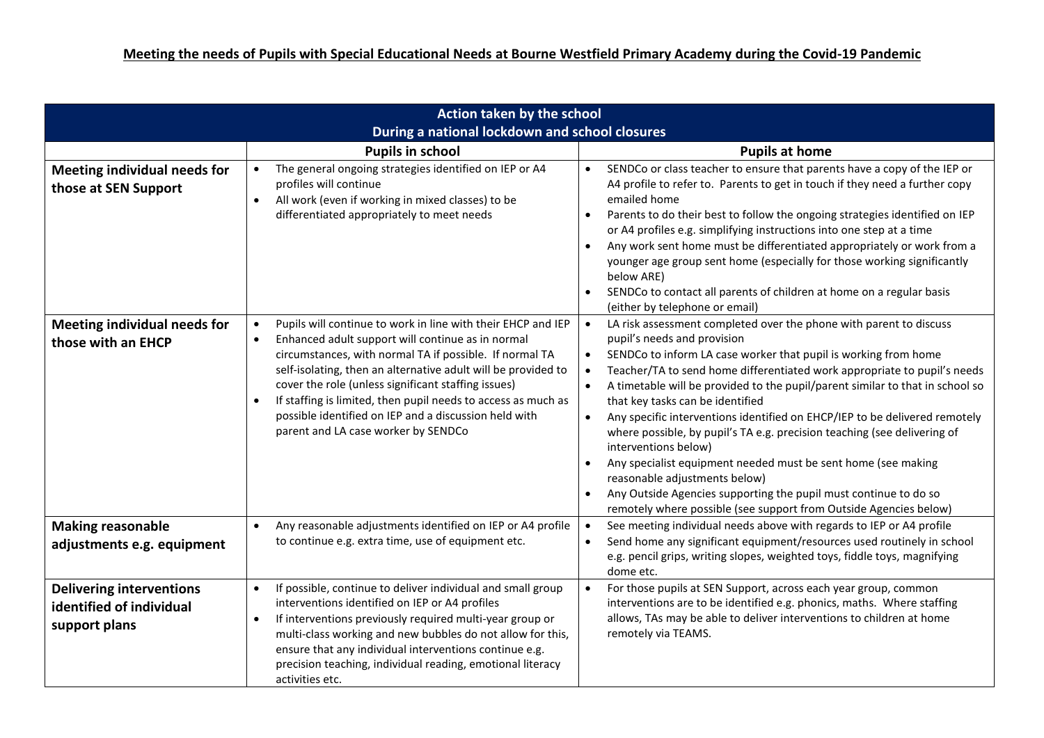| Action taken by the school                                                   |                                                                                                                                                                                                                                                                                                                                                                                                                                                                                                              |                                                                                                                                                                                                                                                                                                                                                                                                                                                                                                                                                                                                                                                                                                                                                                                                                                                                                               |
|------------------------------------------------------------------------------|--------------------------------------------------------------------------------------------------------------------------------------------------------------------------------------------------------------------------------------------------------------------------------------------------------------------------------------------------------------------------------------------------------------------------------------------------------------------------------------------------------------|-----------------------------------------------------------------------------------------------------------------------------------------------------------------------------------------------------------------------------------------------------------------------------------------------------------------------------------------------------------------------------------------------------------------------------------------------------------------------------------------------------------------------------------------------------------------------------------------------------------------------------------------------------------------------------------------------------------------------------------------------------------------------------------------------------------------------------------------------------------------------------------------------|
| During a national lockdown and school closures                               |                                                                                                                                                                                                                                                                                                                                                                                                                                                                                                              |                                                                                                                                                                                                                                                                                                                                                                                                                                                                                                                                                                                                                                                                                                                                                                                                                                                                                               |
|                                                                              | <b>Pupils in school</b>                                                                                                                                                                                                                                                                                                                                                                                                                                                                                      | <b>Pupils at home</b>                                                                                                                                                                                                                                                                                                                                                                                                                                                                                                                                                                                                                                                                                                                                                                                                                                                                         |
| <b>Meeting individual needs for</b><br>those at SEN Support                  | The general ongoing strategies identified on IEP or A4<br>$\bullet$<br>profiles will continue<br>All work (even if working in mixed classes) to be<br>$\bullet$<br>differentiated appropriately to meet needs                                                                                                                                                                                                                                                                                                | SENDCo or class teacher to ensure that parents have a copy of the IEP or<br>$\bullet$<br>A4 profile to refer to. Parents to get in touch if they need a further copy<br>emailed home<br>Parents to do their best to follow the ongoing strategies identified on IEP<br>$\bullet$<br>or A4 profiles e.g. simplifying instructions into one step at a time<br>Any work sent home must be differentiated appropriately or work from a<br>$\bullet$                                                                                                                                                                                                                                                                                                                                                                                                                                               |
|                                                                              |                                                                                                                                                                                                                                                                                                                                                                                                                                                                                                              | younger age group sent home (especially for those working significantly<br>below ARE)<br>SENDCo to contact all parents of children at home on a regular basis<br>$\bullet$<br>(either by telephone or email)                                                                                                                                                                                                                                                                                                                                                                                                                                                                                                                                                                                                                                                                                  |
| <b>Meeting individual needs for</b><br>those with an EHCP                    | Pupils will continue to work in line with their EHCP and IEP<br>$\bullet$<br>Enhanced adult support will continue as in normal<br>$\bullet$<br>circumstances, with normal TA if possible. If normal TA<br>self-isolating, then an alternative adult will be provided to<br>cover the role (unless significant staffing issues)<br>If staffing is limited, then pupil needs to access as much as<br>$\bullet$<br>possible identified on IEP and a discussion held with<br>parent and LA case worker by SENDCo | LA risk assessment completed over the phone with parent to discuss<br>$\bullet$<br>pupil's needs and provision<br>SENDCo to inform LA case worker that pupil is working from home<br>$\bullet$<br>Teacher/TA to send home differentiated work appropriate to pupil's needs<br>$\bullet$<br>A timetable will be provided to the pupil/parent similar to that in school so<br>$\bullet$<br>that key tasks can be identified<br>Any specific interventions identified on EHCP/IEP to be delivered remotely<br>$\bullet$<br>where possible, by pupil's TA e.g. precision teaching (see delivering of<br>interventions below)<br>Any specialist equipment needed must be sent home (see making<br>$\bullet$<br>reasonable adjustments below)<br>Any Outside Agencies supporting the pupil must continue to do so<br>$\bullet$<br>remotely where possible (see support from Outside Agencies below) |
| <b>Making reasonable</b><br>adjustments e.g. equipment                       | Any reasonable adjustments identified on IEP or A4 profile<br>$\bullet$<br>to continue e.g. extra time, use of equipment etc.                                                                                                                                                                                                                                                                                                                                                                                | See meeting individual needs above with regards to IEP or A4 profile<br>$\bullet$<br>Send home any significant equipment/resources used routinely in school<br>$\bullet$<br>e.g. pencil grips, writing slopes, weighted toys, fiddle toys, magnifying<br>dome etc.                                                                                                                                                                                                                                                                                                                                                                                                                                                                                                                                                                                                                            |
| <b>Delivering interventions</b><br>identified of individual<br>support plans | If possible, continue to deliver individual and small group<br>$\bullet$<br>interventions identified on IEP or A4 profiles<br>If interventions previously required multi-year group or<br>$\bullet$<br>multi-class working and new bubbles do not allow for this,<br>ensure that any individual interventions continue e.g.<br>precision teaching, individual reading, emotional literacy<br>activities etc.                                                                                                 | For those pupils at SEN Support, across each year group, common<br>$\bullet$<br>interventions are to be identified e.g. phonics, maths. Where staffing<br>allows, TAs may be able to deliver interventions to children at home<br>remotely via TEAMS.                                                                                                                                                                                                                                                                                                                                                                                                                                                                                                                                                                                                                                         |